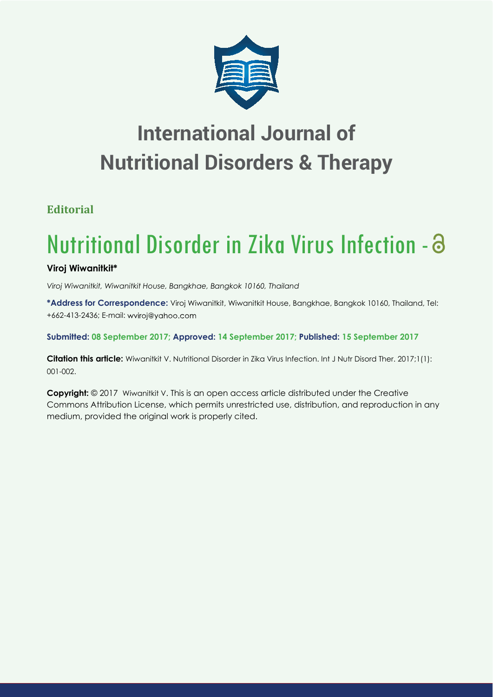

# **International Journal of Nutritional Disorders & Therapy**

## **Editorial**

# Nutritional Disorder in Zika Virus Infection -

### **Viroj Wiwanitkit\***

*Viroj Wiwanitkit, Wiwanitkit House, Bangkhae, Bangkok 10160, Thailand*

**\*Address for Correspondence:** Viroj Wiwanitkit, Wiwanitkit House, Bangkhae, Bangkok 10160, Thailand, Tel: +662-413-2436; E-mail:

**Submitted: 08 September 2017; Approved: 14 September 2017; Published: 15 September 2017**

Citation this article: Wiwanitkit V. Nutritional Disorder in Zika Virus Infection. Int J Nutr Disord Ther. 2017;1(1): 001-002.

**Copyright:** © 2017 Wiwanitkit V. This is an open access article distributed under the Creative Commons Attribution License, which permits unrestricted use, distribution, and reproduction in any medium, provided the original work is properly cited.